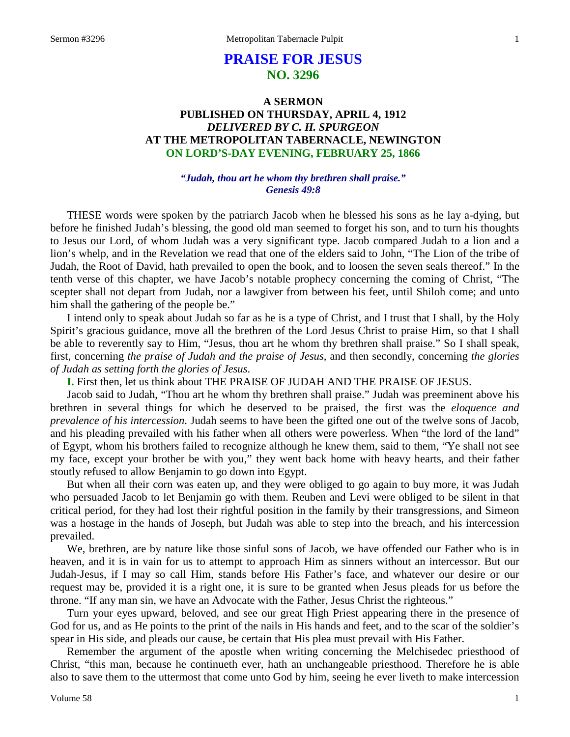# **PRAISE FOR JESUS NO. 3296**

# **A SERMON PUBLISHED ON THURSDAY, APRIL 4, 1912** *DELIVERED BY C. H. SPURGEON* **AT THE METROPOLITAN TABERNACLE, NEWINGTON ON LORD'S-DAY EVENING, FEBRUARY 25, 1866**

### *"Judah, thou art he whom thy brethren shall praise." Genesis 49:8*

THESE words were spoken by the patriarch Jacob when he blessed his sons as he lay a-dying, but before he finished Judah's blessing, the good old man seemed to forget his son, and to turn his thoughts to Jesus our Lord, of whom Judah was a very significant type. Jacob compared Judah to a lion and a lion's whelp, and in the Revelation we read that one of the elders said to John, "The Lion of the tribe of Judah, the Root of David, hath prevailed to open the book, and to loosen the seven seals thereof." In the tenth verse of this chapter, we have Jacob's notable prophecy concerning the coming of Christ, "The scepter shall not depart from Judah, nor a lawgiver from between his feet, until Shiloh come; and unto him shall the gathering of the people be."

I intend only to speak about Judah so far as he is a type of Christ, and I trust that I shall, by the Holy Spirit's gracious guidance, move all the brethren of the Lord Jesus Christ to praise Him, so that I shall be able to reverently say to Him, "Jesus, thou art he whom thy brethren shall praise." So I shall speak, first, concerning *the praise of Judah and the praise of Jesus,* and then secondly, concerning *the glories of Judah as setting forth the glories of Jesus*.

**I.** First then, let us think about THE PRAISE OF JUDAH AND THE PRAISE OF JESUS.

Jacob said to Judah, "Thou art he whom thy brethren shall praise." Judah was preeminent above his brethren in several things for which he deserved to be praised, the first was the *eloquence and prevalence of his intercession*. Judah seems to have been the gifted one out of the twelve sons of Jacob, and his pleading prevailed with his father when all others were powerless. When "the lord of the land" of Egypt, whom his brothers failed to recognize although he knew them, said to them, "Ye shall not see my face, except your brother be with you," they went back home with heavy hearts, and their father stoutly refused to allow Benjamin to go down into Egypt.

But when all their corn was eaten up, and they were obliged to go again to buy more, it was Judah who persuaded Jacob to let Benjamin go with them. Reuben and Levi were obliged to be silent in that critical period, for they had lost their rightful position in the family by their transgressions, and Simeon was a hostage in the hands of Joseph, but Judah was able to step into the breach, and his intercession prevailed.

We, brethren, are by nature like those sinful sons of Jacob, we have offended our Father who is in heaven, and it is in vain for us to attempt to approach Him as sinners without an intercessor. But our Judah-Jesus, if I may so call Him, stands before His Father's face, and whatever our desire or our request may be, provided it is a right one, it is sure to be granted when Jesus pleads for us before the throne. "If any man sin, we have an Advocate with the Father, Jesus Christ the righteous."

Turn your eyes upward, beloved, and see our great High Priest appearing there in the presence of God for us, and as He points to the print of the nails in His hands and feet, and to the scar of the soldier's spear in His side, and pleads our cause, be certain that His plea must prevail with His Father.

Remember the argument of the apostle when writing concerning the Melchisedec priesthood of Christ, "this man, because he continueth ever, hath an unchangeable priesthood. Therefore he is able also to save them to the uttermost that come unto God by him, seeing he ever liveth to make intercession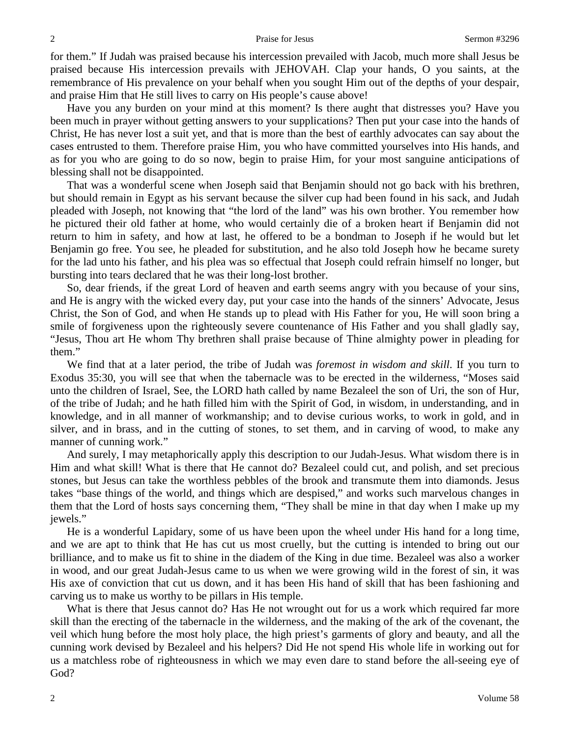for them." If Judah was praised because his intercession prevailed with Jacob, much more shall Jesus be praised because His intercession prevails with JEHOVAH. Clap your hands, O you saints, at the remembrance of His prevalence on your behalf when you sought Him out of the depths of your despair, and praise Him that He still lives to carry on His people's cause above!

Have you any burden on your mind at this moment? Is there aught that distresses you? Have you been much in prayer without getting answers to your supplications? Then put your case into the hands of Christ, He has never lost a suit yet, and that is more than the best of earthly advocates can say about the cases entrusted to them. Therefore praise Him, you who have committed yourselves into His hands, and as for you who are going to do so now, begin to praise Him, for your most sanguine anticipations of blessing shall not be disappointed.

That was a wonderful scene when Joseph said that Benjamin should not go back with his brethren, but should remain in Egypt as his servant because the silver cup had been found in his sack, and Judah pleaded with Joseph, not knowing that "the lord of the land" was his own brother. You remember how he pictured their old father at home, who would certainly die of a broken heart if Benjamin did not return to him in safety, and how at last, he offered to be a bondman to Joseph if he would but let Benjamin go free. You see, he pleaded for substitution, and he also told Joseph how he became surety for the lad unto his father, and his plea was so effectual that Joseph could refrain himself no longer, but bursting into tears declared that he was their long-lost brother.

So, dear friends, if the great Lord of heaven and earth seems angry with you because of your sins, and He is angry with the wicked every day, put your case into the hands of the sinners' Advocate, Jesus Christ, the Son of God, and when He stands up to plead with His Father for you, He will soon bring a smile of forgiveness upon the righteously severe countenance of His Father and you shall gladly say, "Jesus, Thou art He whom Thy brethren shall praise because of Thine almighty power in pleading for them."

We find that at a later period, the tribe of Judah was *foremost in wisdom and skill*. If you turn to Exodus 35:30, you will see that when the tabernacle was to be erected in the wilderness, "Moses said unto the children of Israel, See, the LORD hath called by name Bezaleel the son of Uri, the son of Hur, of the tribe of Judah; and he hath filled him with the Spirit of God, in wisdom, in understanding, and in knowledge, and in all manner of workmanship; and to devise curious works, to work in gold, and in silver, and in brass, and in the cutting of stones, to set them, and in carving of wood, to make any manner of cunning work."

And surely, I may metaphorically apply this description to our Judah-Jesus. What wisdom there is in Him and what skill! What is there that He cannot do? Bezaleel could cut, and polish, and set precious stones, but Jesus can take the worthless pebbles of the brook and transmute them into diamonds. Jesus takes "base things of the world, and things which are despised," and works such marvelous changes in them that the Lord of hosts says concerning them, "They shall be mine in that day when I make up my jewels."

He is a wonderful Lapidary, some of us have been upon the wheel under His hand for a long time, and we are apt to think that He has cut us most cruelly, but the cutting is intended to bring out our brilliance, and to make us fit to shine in the diadem of the King in due time. Bezaleel was also a worker in wood, and our great Judah-Jesus came to us when we were growing wild in the forest of sin, it was His axe of conviction that cut us down, and it has been His hand of skill that has been fashioning and carving us to make us worthy to be pillars in His temple.

What is there that Jesus cannot do? Has He not wrought out for us a work which required far more skill than the erecting of the tabernacle in the wilderness, and the making of the ark of the covenant, the veil which hung before the most holy place, the high priest's garments of glory and beauty, and all the cunning work devised by Bezaleel and his helpers? Did He not spend His whole life in working out for us a matchless robe of righteousness in which we may even dare to stand before the all-seeing eye of God?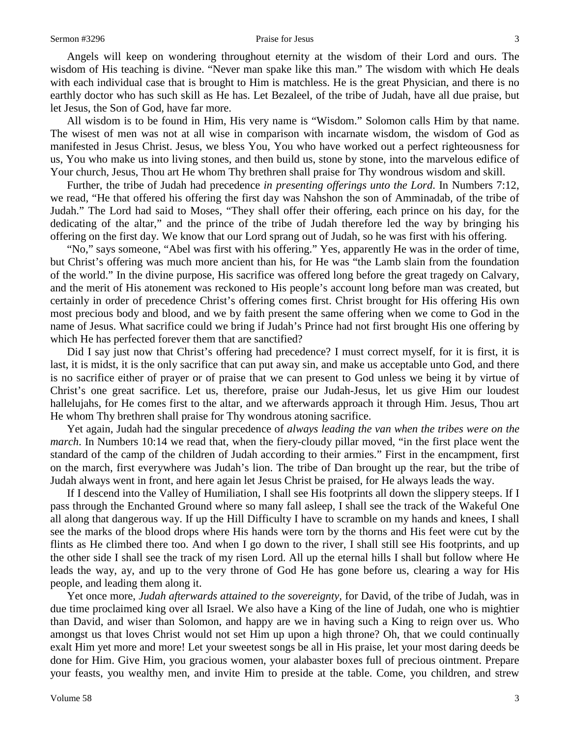Angels will keep on wondering throughout eternity at the wisdom of their Lord and ours. The wisdom of His teaching is divine. "Never man spake like this man." The wisdom with which He deals with each individual case that is brought to Him is matchless. He is the great Physician, and there is no earthly doctor who has such skill as He has. Let Bezaleel, of the tribe of Judah, have all due praise, but let Jesus, the Son of God, have far more.

All wisdom is to be found in Him, His very name is "Wisdom." Solomon calls Him by that name. The wisest of men was not at all wise in comparison with incarnate wisdom, the wisdom of God as manifested in Jesus Christ. Jesus, we bless You, You who have worked out a perfect righteousness for us, You who make us into living stones, and then build us, stone by stone, into the marvelous edifice of Your church, Jesus, Thou art He whom Thy brethren shall praise for Thy wondrous wisdom and skill.

Further, the tribe of Judah had precedence *in presenting offerings unto the Lord*. In Numbers 7:12, we read, "He that offered his offering the first day was Nahshon the son of Amminadab, of the tribe of Judah." The Lord had said to Moses, "They shall offer their offering, each prince on his day, for the dedicating of the altar," and the prince of the tribe of Judah therefore led the way by bringing his offering on the first day. We know that our Lord sprang out of Judah, so he was first with his offering.

"No," says someone, "Abel was first with his offering." Yes, apparently He was in the order of time, but Christ's offering was much more ancient than his, for He was "the Lamb slain from the foundation of the world." In the divine purpose, His sacrifice was offered long before the great tragedy on Calvary, and the merit of His atonement was reckoned to His people's account long before man was created, but certainly in order of precedence Christ's offering comes first. Christ brought for His offering His own most precious body and blood, and we by faith present the same offering when we come to God in the name of Jesus. What sacrifice could we bring if Judah's Prince had not first brought His one offering by which He has perfected forever them that are sanctified?

Did I say just now that Christ's offering had precedence? I must correct myself, for it is first, it is last, it is midst, it is the only sacrifice that can put away sin, and make us acceptable unto God, and there is no sacrifice either of prayer or of praise that we can present to God unless we being it by virtue of Christ's one great sacrifice. Let us, therefore, praise our Judah-Jesus, let us give Him our loudest hallelujahs, for He comes first to the altar, and we afterwards approach it through Him. Jesus, Thou art He whom Thy brethren shall praise for Thy wondrous atoning sacrifice.

Yet again, Judah had the singular precedence of *always leading the van when the tribes were on the march*. In Numbers 10:14 we read that, when the fiery-cloudy pillar moved, "in the first place went the standard of the camp of the children of Judah according to their armies." First in the encampment, first on the march, first everywhere was Judah's lion. The tribe of Dan brought up the rear, but the tribe of Judah always went in front, and here again let Jesus Christ be praised, for He always leads the way.

If I descend into the Valley of Humiliation, I shall see His footprints all down the slippery steeps. If I pass through the Enchanted Ground where so many fall asleep, I shall see the track of the Wakeful One all along that dangerous way. If up the Hill Difficulty I have to scramble on my hands and knees, I shall see the marks of the blood drops where His hands were torn by the thorns and His feet were cut by the flints as He climbed there too. And when I go down to the river, I shall still see His footprints, and up the other side I shall see the track of my risen Lord. All up the eternal hills I shall but follow where He leads the way, ay, and up to the very throne of God He has gone before us, clearing a way for His people, and leading them along it.

Yet once more, *Judah afterwards attained to the sovereignty,* for David, of the tribe of Judah, was in due time proclaimed king over all Israel. We also have a King of the line of Judah, one who is mightier than David, and wiser than Solomon, and happy are we in having such a King to reign over us. Who amongst us that loves Christ would not set Him up upon a high throne? Oh, that we could continually exalt Him yet more and more! Let your sweetest songs be all in His praise, let your most daring deeds be done for Him. Give Him, you gracious women, your alabaster boxes full of precious ointment. Prepare your feasts, you wealthy men, and invite Him to preside at the table. Come, you children, and strew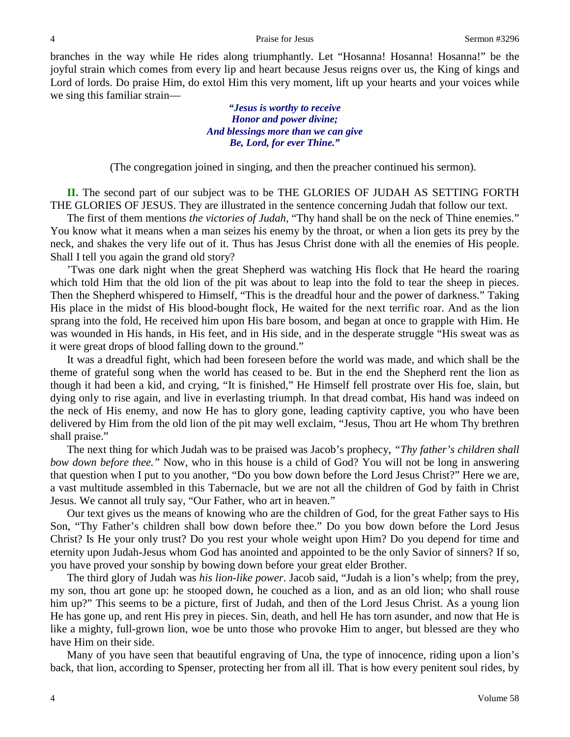branches in the way while He rides along triumphantly. Let "Hosanna! Hosanna! Hosanna!" be the joyful strain which comes from every lip and heart because Jesus reigns over us, the King of kings and Lord of lords. Do praise Him, do extol Him this very moment, lift up your hearts and your voices while we sing this familiar strain—

> *"Jesus is worthy to receive Honor and power divine; And blessings more than we can give Be, Lord, for ever Thine."*

(The congregation joined in singing, and then the preacher continued his sermon).

**II.** The second part of our subject was to be THE GLORIES OF JUDAH AS SETTING FORTH THE GLORIES OF JESUS. They are illustrated in the sentence concerning Judah that follow our text.

The first of them mentions *the victories of Judah,* "Thy hand shall be on the neck of Thine enemies." You know what it means when a man seizes his enemy by the throat, or when a lion gets its prey by the neck, and shakes the very life out of it. Thus has Jesus Christ done with all the enemies of His people. Shall I tell you again the grand old story?

'Twas one dark night when the great Shepherd was watching His flock that He heard the roaring which told Him that the old lion of the pit was about to leap into the fold to tear the sheep in pieces. Then the Shepherd whispered to Himself, "This is the dreadful hour and the power of darkness." Taking His place in the midst of His blood-bought flock, He waited for the next terrific roar. And as the lion sprang into the fold, He received him upon His bare bosom, and began at once to grapple with Him. He was wounded in His hands, in His feet, and in His side, and in the desperate struggle "His sweat was as it were great drops of blood falling down to the ground."

It was a dreadful fight, which had been foreseen before the world was made, and which shall be the theme of grateful song when the world has ceased to be. But in the end the Shepherd rent the lion as though it had been a kid, and crying, "It is finished," He Himself fell prostrate over His foe, slain, but dying only to rise again, and live in everlasting triumph. In that dread combat, His hand was indeed on the neck of His enemy, and now He has to glory gone, leading captivity captive, you who have been delivered by Him from the old lion of the pit may well exclaim, "Jesus, Thou art He whom Thy brethren shall praise."

The next thing for which Judah was to be praised was Jacob's prophecy, *"Thy father's children shall bow down before thee."* Now, who in this house is a child of God? You will not be long in answering that question when I put to you another, "Do you bow down before the Lord Jesus Christ?" Here we are, a vast multitude assembled in this Tabernacle, but we are not all the children of God by faith in Christ Jesus. We cannot all truly say, "Our Father, who art in heaven."

Our text gives us the means of knowing who are the children of God, for the great Father says to His Son, "Thy Father's children shall bow down before thee." Do you bow down before the Lord Jesus Christ? Is He your only trust? Do you rest your whole weight upon Him? Do you depend for time and eternity upon Judah-Jesus whom God has anointed and appointed to be the only Savior of sinners? If so, you have proved your sonship by bowing down before your great elder Brother.

The third glory of Judah was *his lion-like power*. Jacob said, "Judah is a lion's whelp; from the prey, my son, thou art gone up: he stooped down, he couched as a lion, and as an old lion; who shall rouse him up?" This seems to be a picture, first of Judah, and then of the Lord Jesus Christ. As a young lion He has gone up, and rent His prey in pieces. Sin, death, and hell He has torn asunder, and now that He is like a mighty, full-grown lion, woe be unto those who provoke Him to anger, but blessed are they who have Him on their side.

Many of you have seen that beautiful engraving of Una, the type of innocence, riding upon a lion's back, that lion, according to Spenser, protecting her from all ill. That is how every penitent soul rides, by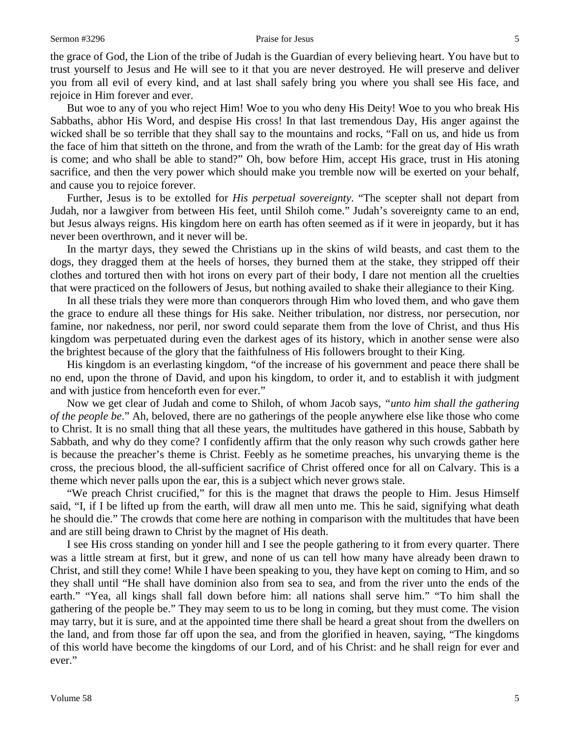#### Sermon #3296 **Praise for Jesus** 5

the grace of God, the Lion of the tribe of Judah is the Guardian of every believing heart. You have but to trust yourself to Jesus and He will see to it that you are never destroyed. He will preserve and deliver you from all evil of every kind, and at last shall safely bring you where you shall see His face, and rejoice in Him forever and ever.

But woe to any of you who reject Him! Woe to you who deny His Deity! Woe to you who break His Sabbaths, abhor His Word, and despise His cross! In that last tremendous Day, His anger against the wicked shall be so terrible that they shall say to the mountains and rocks, "Fall on us, and hide us from the face of him that sitteth on the throne, and from the wrath of the Lamb: for the great day of His wrath is come; and who shall be able to stand?" Oh, bow before Him, accept His grace, trust in His atoning sacrifice, and then the very power which should make you tremble now will be exerted on your behalf, and cause you to rejoice forever.

Further, Jesus is to be extolled for *His perpetual sovereignty*. "The scepter shall not depart from Judah, nor a lawgiver from between His feet, until Shiloh come." Judah's sovereignty came to an end, but Jesus always reigns. His kingdom here on earth has often seemed as if it were in jeopardy, but it has never been overthrown, and it never will be.

In the martyr days, they sewed the Christians up in the skins of wild beasts, and cast them to the dogs, they dragged them at the heels of horses, they burned them at the stake, they stripped off their clothes and tortured then with hot irons on every part of their body, I dare not mention all the cruelties that were practiced on the followers of Jesus, but nothing availed to shake their allegiance to their King.

In all these trials they were more than conquerors through Him who loved them, and who gave them the grace to endure all these things for His sake. Neither tribulation, nor distress, nor persecution, nor famine, nor nakedness, nor peril, nor sword could separate them from the love of Christ, and thus His kingdom was perpetuated during even the darkest ages of its history, which in another sense were also the brightest because of the glory that the faithfulness of His followers brought to their King.

His kingdom is an everlasting kingdom, "of the increase of his government and peace there shall be no end, upon the throne of David, and upon his kingdom, to order it, and to establish it with judgment and with justice from henceforth even for ever."

Now we get clear of Judah and come to Shiloh, of whom Jacob says, *"unto him shall the gathering of the people be*." Ah, beloved, there are no gatherings of the people anywhere else like those who come to Christ. It is no small thing that all these years, the multitudes have gathered in this house, Sabbath by Sabbath, and why do they come? I confidently affirm that the only reason why such crowds gather here is because the preacher's theme is Christ. Feebly as he sometime preaches, his unvarying theme is the cross, the precious blood, the all-sufficient sacrifice of Christ offered once for all on Calvary. This is a theme which never palls upon the ear, this is a subject which never grows stale.

"We preach Christ crucified," for this is the magnet that draws the people to Him. Jesus Himself said, "I, if I be lifted up from the earth, will draw all men unto me. This he said, signifying what death he should die." The crowds that come here are nothing in comparison with the multitudes that have been and are still being drawn to Christ by the magnet of His death.

I see His cross standing on yonder hill and I see the people gathering to it from every quarter. There was a little stream at first, but it grew, and none of us can tell how many have already been drawn to Christ, and still they come! While I have been speaking to you, they have kept on coming to Him, and so they shall until "He shall have dominion also from sea to sea, and from the river unto the ends of the earth." "Yea, all kings shall fall down before him: all nations shall serve him." "To him shall the gathering of the people be." They may seem to us to be long in coming, but they must come. The vision may tarry, but it is sure, and at the appointed time there shall be heard a great shout from the dwellers on the land, and from those far off upon the sea, and from the glorified in heaven, saying, "The kingdoms of this world have become the kingdoms of our Lord, and of his Christ: and he shall reign for ever and ever."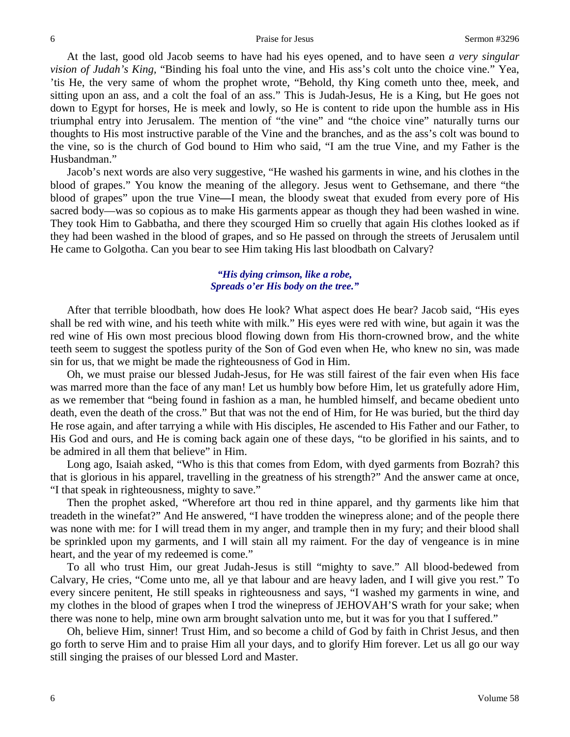At the last, good old Jacob seems to have had his eyes opened, and to have seen *a very singular vision of Judah's King,* "Binding his foal unto the vine, and His ass's colt unto the choice vine." Yea, 'tis He, the very same of whom the prophet wrote, "Behold, thy King cometh unto thee, meek, and sitting upon an ass, and a colt the foal of an ass." This is Judah-Jesus, He is a King, but He goes not down to Egypt for horses, He is meek and lowly, so He is content to ride upon the humble ass in His triumphal entry into Jerusalem. The mention of "the vine" and "the choice vine" naturally turns our thoughts to His most instructive parable of the Vine and the branches, and as the ass's colt was bound to the vine, so is the church of God bound to Him who said, "I am the true Vine, and my Father is the Husbandman."

Jacob's next words are also very suggestive, "He washed his garments in wine, and his clothes in the blood of grapes." You know the meaning of the allegory. Jesus went to Gethsemane, and there "the blood of grapes" upon the true Vine**—**I mean, the bloody sweat that exuded from every pore of His sacred body—was so copious as to make His garments appear as though they had been washed in wine. They took Him to Gabbatha, and there they scourged Him so cruelly that again His clothes looked as if they had been washed in the blood of grapes, and so He passed on through the streets of Jerusalem until He came to Golgotha. Can you bear to see Him taking His last bloodbath on Calvary?

## *"His dying crimson, like a robe, Spreads o'er His body on the tree."*

After that terrible bloodbath, how does He look? What aspect does He bear? Jacob said, "His eyes shall be red with wine, and his teeth white with milk." His eyes were red with wine, but again it was the red wine of His own most precious blood flowing down from His thorn-crowned brow, and the white teeth seem to suggest the spotless purity of the Son of God even when He, who knew no sin, was made sin for us, that we might be made the righteousness of God in Him.

Oh, we must praise our blessed Judah-Jesus, for He was still fairest of the fair even when His face was marred more than the face of any man! Let us humbly bow before Him, let us gratefully adore Him, as we remember that "being found in fashion as a man, he humbled himself, and became obedient unto death, even the death of the cross." But that was not the end of Him, for He was buried, but the third day He rose again, and after tarrying a while with His disciples, He ascended to His Father and our Father, to His God and ours, and He is coming back again one of these days, "to be glorified in his saints, and to be admired in all them that believe" in Him.

Long ago, Isaiah asked, "Who is this that comes from Edom, with dyed garments from Bozrah? this that is glorious in his apparel, travelling in the greatness of his strength?" And the answer came at once, "I that speak in righteousness, mighty to save."

Then the prophet asked, "Wherefore art thou red in thine apparel, and thy garments like him that treadeth in the winefat?" And He answered, "I have trodden the winepress alone; and of the people there was none with me: for I will tread them in my anger, and trample then in my fury; and their blood shall be sprinkled upon my garments, and I will stain all my raiment. For the day of vengeance is in mine heart, and the year of my redeemed is come."

To all who trust Him, our great Judah-Jesus is still "mighty to save." All blood-bedewed from Calvary, He cries, "Come unto me, all ye that labour and are heavy laden, and I will give you rest." To every sincere penitent, He still speaks in righteousness and says, "I washed my garments in wine, and my clothes in the blood of grapes when I trod the winepress of JEHOVAH'S wrath for your sake; when there was none to help, mine own arm brought salvation unto me, but it was for you that I suffered."

Oh, believe Him, sinner! Trust Him, and so become a child of God by faith in Christ Jesus, and then go forth to serve Him and to praise Him all your days, and to glorify Him forever. Let us all go our way still singing the praises of our blessed Lord and Master.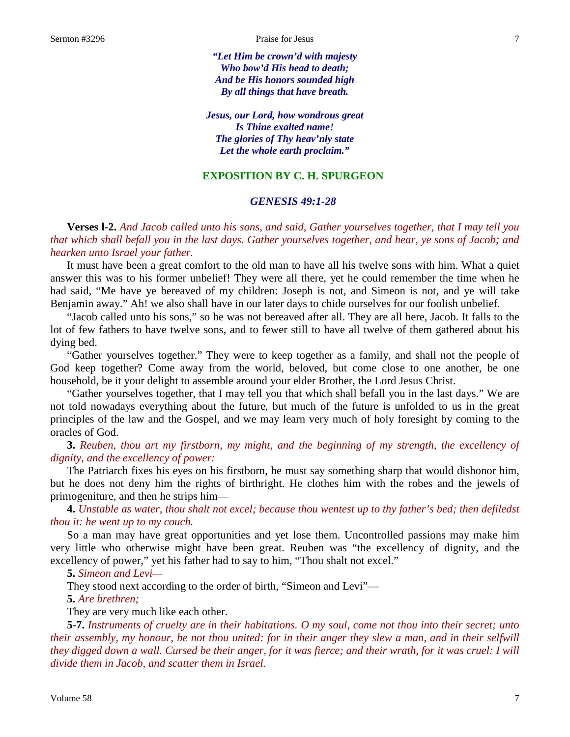*"Let Him be crown'd with majesty Who bow'd His head to death; And be His honors sounded high By all things that have breath.*

*Jesus, our Lord, how wondrous great Is Thine exalted name! The glories of Thy heav'nly state Let the whole earth proclaim."*

## **EXPOSITION BY C. H. SPURGEON**

### *GENESIS 49:1-28*

**Verses l-2.** *And Jacob called unto his sons, and said, Gather yourselves together, that I may tell you that which shall befall you in the last days. Gather yourselves together, and hear, ye sons of Jacob; and hearken unto Israel your father.*

It must have been a great comfort to the old man to have all his twelve sons with him. What a quiet answer this was to his former unbelief! They were all there, yet he could remember the time when he had said, "Me have ye bereaved of my children: Joseph is not, and Simeon is not, and ye will take Benjamin away." Ah! we also shall have in our later days to chide ourselves for our foolish unbelief.

"Jacob called unto his sons," so he was not bereaved after all. They are all here, Jacob. It falls to the lot of few fathers to have twelve sons, and to fewer still to have all twelve of them gathered about his dying bed.

"Gather yourselves together." They were to keep together as a family, and shall not the people of God keep together? Come away from the world, beloved, but come close to one another, be one household, be it your delight to assemble around your elder Brother, the Lord Jesus Christ.

"Gather yourselves together, that I may tell you that which shall befall you in the last days." We are not told nowadays everything about the future, but much of the future is unfolded to us in the great principles of the law and the Gospel, and we may learn very much of holy foresight by coming to the oracles of God.

**3.** *Reuben, thou art my firstborn, my might, and the beginning of my strength, the excellency of dignity, and the excellency of power:*

The Patriarch fixes his eyes on his firstborn, he must say something sharp that would dishonor him, but he does not deny him the rights of birthright. He clothes him with the robes and the jewels of primogeniture, and then he strips him—

**4.** *Unstable as water, thou shalt not excel; because thou wentest up to thy father's bed; then defiledst thou it: he went up to my couch.*

So a man may have great opportunities and yet lose them. Uncontrolled passions may make him very little who otherwise might have been great. Reuben was "the excellency of dignity, and the excellency of power," yet his father had to say to him, "Thou shalt not excel."

**5.** *Simeon and Levi—*

They stood next according to the order of birth, "Simeon and Levi"—

**5.** *Are brethren;*

They are very much like each other.

**5-7.** *Instruments of cruelty are in their habitations. O my soul, come not thou into their secret; unto their assembly, my honour, be not thou united: for in their anger they slew a man, and in their selfwill they digged down a wall. Cursed be their anger, for it was fierce; and their wrath, for it was cruel: I will divide them in Jacob, and scatter them in Israel.*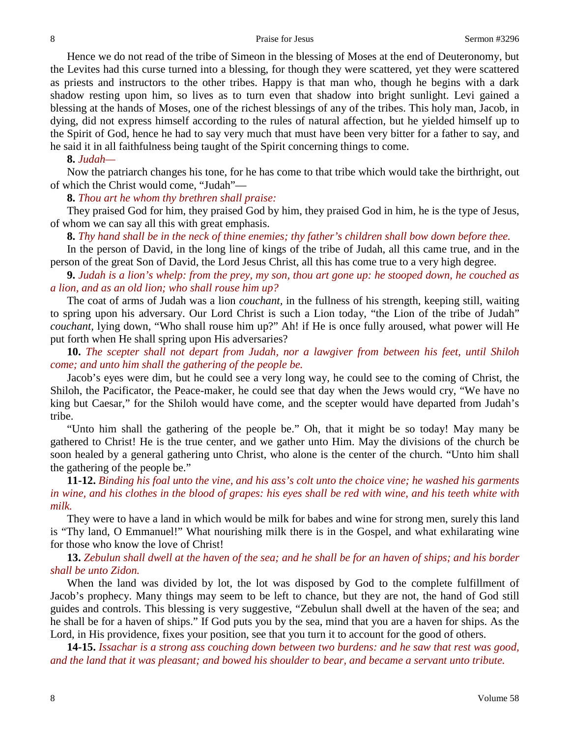Hence we do not read of the tribe of Simeon in the blessing of Moses at the end of Deuteronomy, but the Levites had this curse turned into a blessing, for though they were scattered, yet they were scattered as priests and instructors to the other tribes. Happy is that man who, though he begins with a dark shadow resting upon him, so lives as to turn even that shadow into bright sunlight. Levi gained a blessing at the hands of Moses, one of the richest blessings of any of the tribes. This holy man, Jacob, in dying, did not express himself according to the rules of natural affection, but he yielded himself up to the Spirit of God, hence he had to say very much that must have been very bitter for a father to say, and he said it in all faithfulness being taught of the Spirit concerning things to come.

**8.** *Judah—*

Now the patriarch changes his tone, for he has come to that tribe which would take the birthright, out of which the Christ would come, "Judah"—

**8.** *Thou art he whom thy brethren shall praise:*

They praised God for him, they praised God by him, they praised God in him, he is the type of Jesus, of whom we can say all this with great emphasis.

**8.** *Thy hand shall be in the neck of thine enemies; thy father's children shall bow down before thee.*

In the person of David, in the long line of kings of the tribe of Judah, all this came true, and in the person of the great Son of David, the Lord Jesus Christ, all this has come true to a very high degree.

**9.** *Judah is a lion's whelp: from the prey, my son, thou art gone up: he stooped down, he couched as a lion, and as an old lion; who shall rouse him up?*

The coat of arms of Judah was a lion *couchant,* in the fullness of his strength, keeping still, waiting to spring upon his adversary. Our Lord Christ is such a Lion today, "the Lion of the tribe of Judah" *couchant,* lying down, "Who shall rouse him up?" Ah! if He is once fully aroused, what power will He put forth when He shall spring upon His adversaries?

**10.** *The scepter shall not depart from Judah, nor a lawgiver from between his feet, until Shiloh come; and unto him shall the gathering of the people be.*

Jacob's eyes were dim, but he could see a very long way, he could see to the coming of Christ, the Shiloh, the Pacificator, the Peace-maker, he could see that day when the Jews would cry, "We have no king but Caesar," for the Shiloh would have come, and the scepter would have departed from Judah's tribe.

"Unto him shall the gathering of the people be." Oh, that it might be so today! May many be gathered to Christ! He is the true center, and we gather unto Him. May the divisions of the church be soon healed by a general gathering unto Christ, who alone is the center of the church. "Unto him shall the gathering of the people be."

**11-12.** *Binding his foal unto the vine, and his ass's colt unto the choice vine; he washed his garments in wine, and his clothes in the blood of grapes: his eyes shall be red with wine, and his teeth white with milk.*

They were to have a land in which would be milk for babes and wine for strong men, surely this land is "Thy land, O Emmanuel!" What nourishing milk there is in the Gospel, and what exhilarating wine for those who know the love of Christ!

**13.** *Zebulun shall dwell at the haven of the sea; and he shall be for an haven of ships; and his border shall be unto Zidon.*

When the land was divided by lot, the lot was disposed by God to the complete fulfillment of Jacob's prophecy. Many things may seem to be left to chance, but they are not, the hand of God still guides and controls. This blessing is very suggestive, "Zebulun shall dwell at the haven of the sea; and he shall be for a haven of ships." If God puts you by the sea, mind that you are a haven for ships. As the Lord, in His providence, fixes your position, see that you turn it to account for the good of others.

**14-15.** *Issachar is a strong ass couching down between two burdens: and he saw that rest was good, and the land that it was pleasant; and bowed his shoulder to bear, and became a servant unto tribute.*